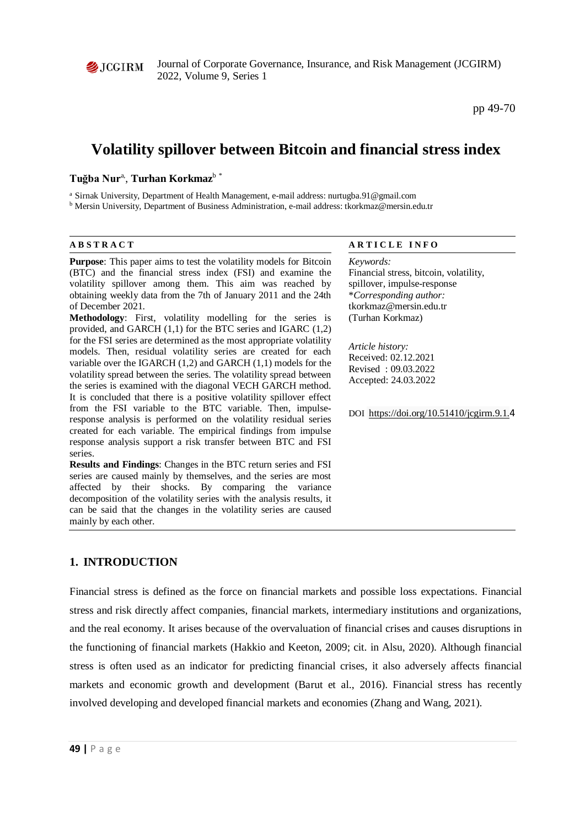

Journal of Corporate Governance, Insurance, and Risk Management (JCGIRM) 2022, Volume 9, Series 1

pp 49-70

# **Volatility spillover between Bitcoin and financial stress index**

# $T$ uğba Nur<sup>a</sup>, Turhan Korkmaz<sup>b \*</sup>

<sup>a</sup> Sirnak University, Department of Health Management, e-mail address: nurtugba.91@gmail.com

<sup>b</sup> Mersin University, Department of Business Administration, e-mail address: tkorkmaz@mersin.edu.tr

| <b>ABSTRACT</b>                                                                                                                                                                                                                                                                                                                                                                                                                                                                                                                                                                                                                                                                                                                                                                                                                                                                                                                                                                                                                                                                                                                                                                                                   | <b>ARTICLE INFO</b>                                                                                                                                                                                                                                                                                |
|-------------------------------------------------------------------------------------------------------------------------------------------------------------------------------------------------------------------------------------------------------------------------------------------------------------------------------------------------------------------------------------------------------------------------------------------------------------------------------------------------------------------------------------------------------------------------------------------------------------------------------------------------------------------------------------------------------------------------------------------------------------------------------------------------------------------------------------------------------------------------------------------------------------------------------------------------------------------------------------------------------------------------------------------------------------------------------------------------------------------------------------------------------------------------------------------------------------------|----------------------------------------------------------------------------------------------------------------------------------------------------------------------------------------------------------------------------------------------------------------------------------------------------|
| <b>Purpose:</b> This paper aims to test the volatility models for Bitcoin<br>(BTC) and the financial stress index (FSI) and examine the<br>volatility spillover among them. This aim was reached by<br>obtaining weekly data from the 7th of January 2011 and the 24th<br>of December 2021.<br>Methodology: First, volatility modelling for the series is<br>provided, and GARCH $(1,1)$ for the BTC series and IGARC $(1,2)$<br>for the FSI series are determined as the most appropriate volatility<br>models. Then, residual volatility series are created for each<br>variable over the IGARCH $(1,2)$ and GARCH $(1,1)$ models for the<br>volatility spread between the series. The volatility spread between<br>the series is examined with the diagonal VECH GARCH method.<br>It is concluded that there is a positive volatility spillover effect<br>from the FSI variable to the BTC variable. Then, impulse-<br>response analysis is performed on the volatility residual series<br>created for each variable. The empirical findings from impulse<br>response analysis support a risk transfer between BTC and FSI<br>series.<br><b>Results and Findings:</b> Changes in the BTC return series and FSI | Keywords:<br>Financial stress, bitcoin, volatility,<br>spillover, impulse-response<br>*Corresponding author:<br>tkorkmaz@mersin.edu.tr<br>(Turhan Korkmaz)<br>Article history:<br>Received: 02.12.2021<br>Revised: 09.03.2022<br>Accepted: 24.03.2022<br>DOI https://doi.org/10.51410/jcgirm.9.1.4 |
| series are caused mainly by themselves, and the series are most<br>affected by their shocks. By comparing the variance<br>decomposition of the volatility series with the analysis results, it                                                                                                                                                                                                                                                                                                                                                                                                                                                                                                                                                                                                                                                                                                                                                                                                                                                                                                                                                                                                                    |                                                                                                                                                                                                                                                                                                    |

# **1. INTRODUCTION**

mainly by each other.

can be said that the changes in the volatility series are caused

Financial stress is defined as the force on financial markets and possible loss expectations. Financial stress and risk directly affect companies, financial markets, intermediary institutions and organizations, and the real economy. It arises because of the overvaluation of financial crises and causes disruptions in the functioning of financial markets (Hakkio and Keeton, 2009; cit. in Alsu, 2020). Although financial stress is often used as an indicator for predicting financial crises, it also adversely affects financial markets and economic growth and development (Barut et al., 2016). Financial stress has recently involved developing and developed financial markets and economies (Zhang and Wang, 2021).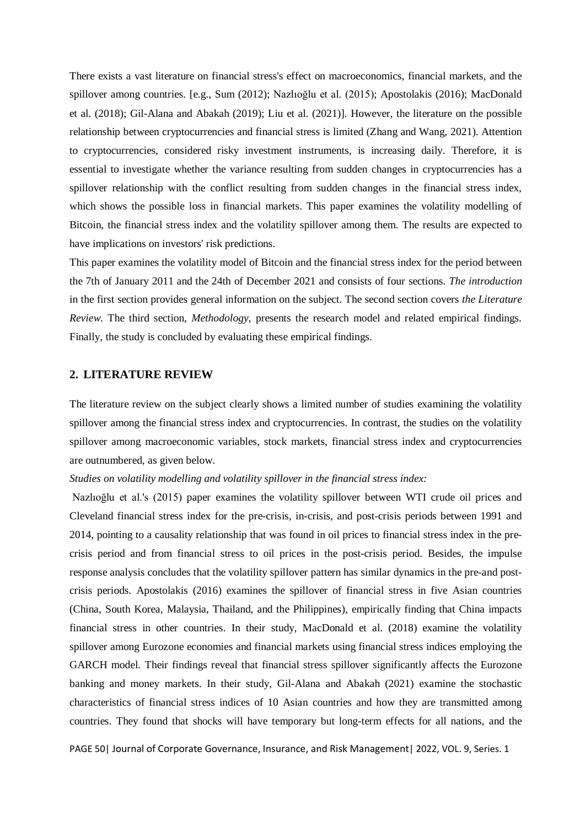There exists a vast literature on financial stress's effect on macroeconomics, financial markets, and the spillover among countries. [e.g., Sum (2012); Nazlıoğlu et al. (2015); Apostolakis (2016); MacDonald et al. (2018); Gil-Alana and Abakah (2019); Liu et al. (2021)]. However, the literature on the possible relationship between cryptocurrencies and financial stress is limited (Zhang and Wang, 2021). Attention to cryptocurrencies, considered risky investment instruments, is increasing daily. Therefore, it is essential to investigate whether the variance resulting from sudden changes in cryptocurrencies has a spillover relationship with the conflict resulting from sudden changes in the financial stress index, which shows the possible loss in financial markets. This paper examines the volatility modelling of Bitcoin, the financial stress index and the volatility spillover among them. The results are expected to have implications on investors' risk predictions.

This paper examines the volatility model of Bitcoin and the financial stress index for the period between the 7th of January 2011 and the 24th of December 2021 and consists of four sections. *The introduction* in the first section provides general information on the subject. The second section covers *the Literature Review*. The third section, *Methodology*, presents the research model and related empirical findings. Finally, the study is concluded by evaluating these empirical findings.

# **2. LITERATURE REVIEW**

The literature review on the subject clearly shows a limited number of studies examining the volatility spillover among the financial stress index and cryptocurrencies. In contrast, the studies on the volatility spillover among macroeconomic variables, stock markets, financial stress index and cryptocurrencies are outnumbered, as given below.

#### *Studies on volatility modelling and volatility spillover in the financial stress index:*

Nazlıoğlu et al.'s (2015) paper examines the volatility spillover between WTI crude oil prices and Cleveland financial stress index for the pre-crisis, in-crisis, and post-crisis periods between 1991 and 2014, pointing to a causality relationship that was found in oil prices to financial stress index in the precrisis period and from financial stress to oil prices in the post-crisis period. Besides, the impulse response analysis concludes that the volatility spillover pattern has similar dynamics in the pre-and postcrisis periods. Apostolakis (2016) examines the spillover of financial stress in five Asian countries (China, South Korea, Malaysia, Thailand, and the Philippines), empirically finding that China impacts financial stress in other countries. In their study, MacDonald et al. (2018) examine the volatility spillover among Eurozone economies and financial markets using financial stress indices employing the GARCH model. Their findings reveal that financial stress spillover significantly affects the Eurozone banking and money markets. In their study, Gil-Alana and Abakah (2021) examine the stochastic characteristics of financial stress indices of 10 Asian countries and how they are transmitted among countries. They found that shocks will have temporary but long-term effects for all nations, and the

PAGE 50| Journal of Corporate Governance, Insurance, and Risk Management | 2022, VOL. 9, Series. 1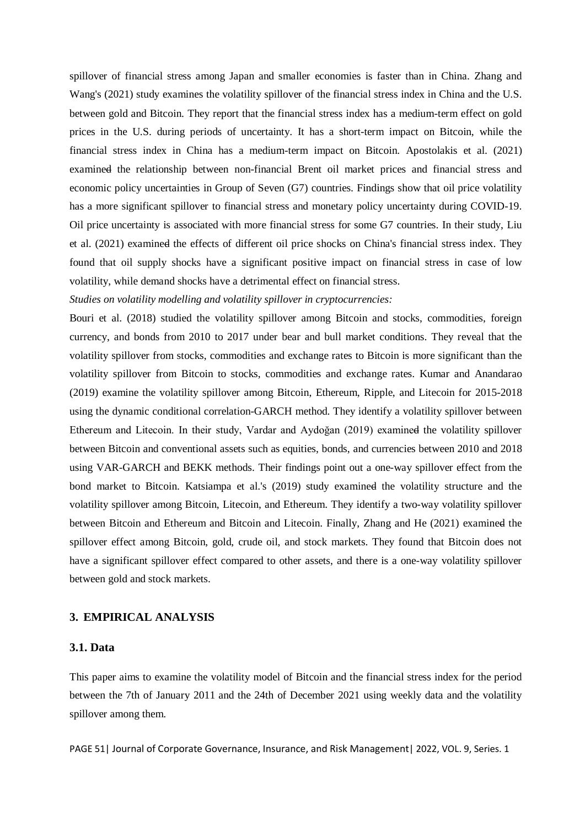spillover of financial stress among Japan and smaller economies is faster than in China. Zhang and Wang's (2021) study examines the volatility spillover of the financial stress index in China and the U.S. between gold and Bitcoin. They report that the financial stress index has a medium-term effect on gold prices in the U.S. during periods of uncertainty. It has a short-term impact on Bitcoin, while the financial stress index in China has a medium-term impact on Bitcoin. Apostolakis et al. (2021) examined the relationship between non-financial Brent oil market prices and financial stress and economic policy uncertainties in Group of Seven (G7) countries. Findings show that oil price volatility has a more significant spillover to financial stress and monetary policy uncertainty during COVID-19. Oil price uncertainty is associated with more financial stress for some G7 countries. In their study, Liu et al. (2021) examined the effects of different oil price shocks on China's financial stress index. They found that oil supply shocks have a significant positive impact on financial stress in case of low volatility, while demand shocks have a detrimental effect on financial stress.

#### *Studies on volatility modelling and volatility spillover in cryptocurrencies:*

Bouri et al. (2018) studied the volatility spillover among Bitcoin and stocks, commodities, foreign currency, and bonds from 2010 to 2017 under bear and bull market conditions. They reveal that the volatility spillover from stocks, commodities and exchange rates to Bitcoin is more significant than the volatility spillover from Bitcoin to stocks, commodities and exchange rates. Kumar and Anandarao (2019) examine the volatility spillover among Bitcoin, Ethereum, Ripple, and Litecoin for 2015-2018 using the dynamic conditional correlation-GARCH method. They identify a volatility spillover between Ethereum and Litecoin. In their study, Vardar and Aydoğan (2019) examined the volatility spillover between Bitcoin and conventional assets such as equities, bonds, and currencies between 2010 and 2018 using VAR-GARCH and BEKK methods. Their findings point out a one-way spillover effect from the bond market to Bitcoin. Katsiampa et al.'s (2019) study examined the volatility structure and the volatility spillover among Bitcoin, Litecoin, and Ethereum. They identify a two-way volatility spillover between Bitcoin and Ethereum and Bitcoin and Litecoin. Finally, Zhang and He (2021) examined the spillover effect among Bitcoin, gold, crude oil, and stock markets. They found that Bitcoin does not have a significant spillover effect compared to other assets, and there is a one-way volatility spillover between gold and stock markets.

# **3. EMPIRICAL ANALYSIS**

#### **3.1. Data**

This paper aims to examine the volatility model of Bitcoin and the financial stress index for the period between the 7th of January 2011 and the 24th of December 2021 using weekly data and the volatility spillover among them.

PAGE 51 | Journal of Corporate Governance, Insurance, and Risk Management | 2022, VOL. 9, Series. 1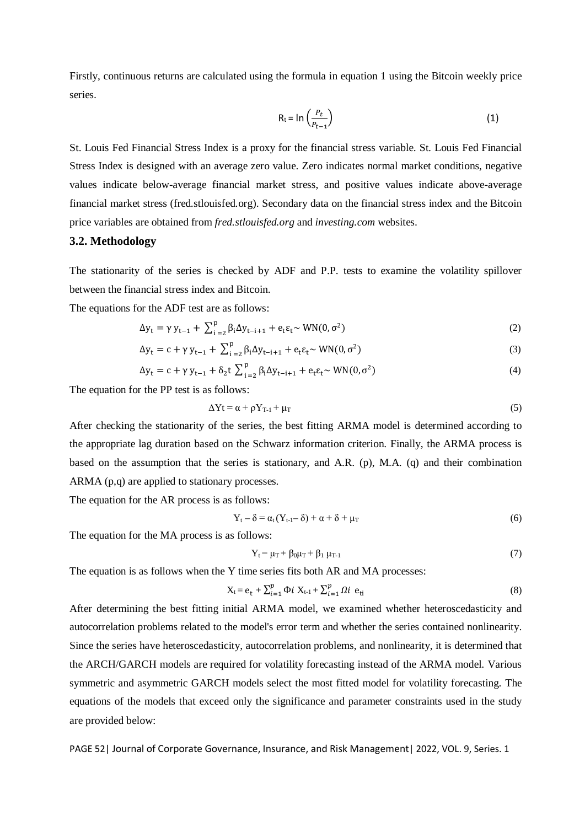Firstly, continuous returns are calculated using the formula in equation 1 using the Bitcoin weekly price series.

$$
R_t = \ln\left(\frac{P_t}{P_{t-1}}\right) \tag{1}
$$

St. Louis Fed Financial Stress Index is a proxy for the financial stress variable. St. Louis Fed Financial Stress Index is designed with an average zero value. Zero indicates normal market conditions, negative values indicate below-average financial market stress, and positive values indicate above-average financial market stress (fred.stlouisfed.org). Secondary data on the financial stress index and the Bitcoin price variables are obtained from *fred.stlouisfed.org* and *investing.com* websites.

# **3.2. Methodology**

The stationarity of the series is checked by ADF and P.P. tests to examine the volatility spillover between the financial stress index and Bitcoin.

The equations for the ADF test are as follows:

$$
\Delta y_{t} = \gamma y_{t-1} + \sum_{i=2}^{p} \beta_{i} \Delta y_{t-i+1} + e_{t} \varepsilon_{t} \sim \text{WN}(0, \sigma^{2})
$$
\n<sup>(2)</sup>

$$
\Delta y_{t} = c + \gamma y_{t-1} + \sum_{i=2}^{p} \beta_{i} \Delta y_{t-i+1} + e_{t} \varepsilon_{t} \sim \text{WN}(0, \sigma^{2})
$$
\n(3)

$$
\Delta y_{t} = c + \gamma y_{t-1} + \delta_{2} t \sum_{i=2}^{p} \beta_{i} \Delta y_{t-i+1} + e_{t} \varepsilon_{t} \sim \text{WN}(0, \sigma^{2})
$$
\n(4)

The equation for the PP test is as follows:

$$
\Delta Y t = \alpha + \rho Y_{T-1} + \mu_T \tag{5}
$$

After checking the stationarity of the series, the best fitting ARMA model is determined according to the appropriate lag duration based on the Schwarz information criterion. Finally, the ARMA process is based on the assumption that the series is stationary, and A.R. (p), M.A. (q) and their combination ARMA (p,q) are applied to stationary processes.

The equation for the AR process is as follows:

$$
Y_t - \delta = \alpha_t (Y_{t-1} - \delta) + \alpha + \delta + \mu_T
$$
\n(6)

The equation for the MA process is as follows:

$$
Y_{t} = \mu_{T} + \beta_{0}\mu_{T} + \beta_{1}\mu_{T-1}
$$
\n(7)

The equation is as follows when the Y time series fits both AR and MA processes:

$$
X_{t} = e_{t} + \sum_{i=1}^{p} \Phi i X_{t-1} + \sum_{i=1}^{p} \Omega i e_{ti}
$$
 (8)

After determining the best fitting initial ARMA model, we examined whether heteroscedasticity and autocorrelation problems related to the model's error term and whether the series contained nonlinearity. Since the series have heteroscedasticity, autocorrelation problems, and nonlinearity, it is determined that the ARCH/GARCH models are required for volatility forecasting instead of the ARMA model. Various symmetric and asymmetric GARCH models select the most fitted model for volatility forecasting. The equations of the models that exceed only the significance and parameter constraints used in the study are provided below:

PAGE 52 | Journal of Corporate Governance, Insurance, and Risk Management | 2022, VOL. 9, Series. 1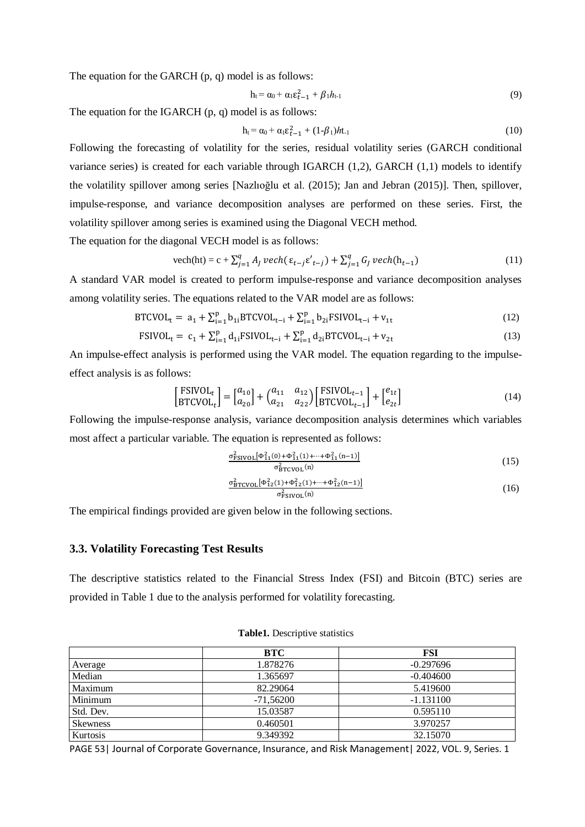The equation for the GARCH (p, q) model is as follows:

$$
h_t = \alpha_0 + \alpha_1 \varepsilon_{t-1}^2 + \beta_1 h_{t-1} \tag{9}
$$

The equation for the IGARCH (p, q) model is as follows:

$$
h_{t} = \alpha_{0} + \alpha_{1} \varepsilon_{t-1}^{2} + (1-\beta_{1})h t_{1}
$$
\n(10)

Following the forecasting of volatility for the series, residual volatility series (GARCH conditional variance series) is created for each variable through IGARCH (1,2), GARCH (1,1) models to identify the volatility spillover among series [Nazlıoğlu et al. (2015); Jan and Jebran (2015)]. Then, spillover, impulse-response, and variance decomposition analyses are performed on these series. First, the volatility spillover among series is examined using the Diagonal VECH method.

The equation for the diagonal VECH model is as follows:

$$
\text{vech}(\text{ht}) = c + \sum_{j=1}^{q} A_j \text{ } \text{vech}(\varepsilon_{t-j} \varepsilon'_{t-j}) + \sum_{j=1}^{q} G_j \text{ } \text{vech}(\text{h}_{t-1}) \tag{11}
$$

A standard VAR model is created to perform impulse-response and variance decomposition analyses among volatility series. The equations related to the VAR model are as follows:

$$
BTCVOL_t = a_1 + \sum_{i=1}^{p} b_{1i} BTCVOL_{t-i} + \sum_{i=1}^{p} b_{2i} FSIVOL_{t-i} + v_{1t}
$$
\n(12)

$$
FSIVOL_{t} = c_{1} + \sum_{i=1}^{p} d_{1i}FSIVOL_{t-i} + \sum_{i=1}^{p} d_{2i}BTCVOL_{t-i} + v_{2t}
$$
\n(13)

An impulse-effect analysis is performed using the VAR model. The equation regarding to the impulseeffect analysis is as follows:

$$
\begin{bmatrix} \text{FSIVOL}_{t} \\ \text{BTCVOL}_{t} \end{bmatrix} = \begin{bmatrix} a_{10} \\ a_{20} \end{bmatrix} + \begin{bmatrix} a_{11} & a_{12} \\ a_{21} & a_{22} \end{bmatrix} \begin{bmatrix} \text{FSIVOL}_{t-1} \\ \text{BTCVOL}_{t-1} \end{bmatrix} + \begin{bmatrix} e_{1t} \\ e_{2t} \end{bmatrix}
$$
(14)

Following the impulse-response analysis, variance decomposition analysis determines which variables most affect a particular variable. The equation is represented as follows:

$$
\frac{\sigma_{\text{FSIVOL}}^2[\Phi_{11}^2(0) + \Phi_{11}^2(1) + \dots + \Phi_{11}^2(n-1)]}{\sigma_{\text{BTCVDL}}^2(n)}\tag{15}
$$

$$
\frac{\sigma_{\text{BTCVOL}}^2[\Phi_{12}^2(1) + \Phi_{12}^2(1) + \dots + \Phi_{12}^2(n-1)]}{\sigma_{\text{FSIVOL}}^2(n)}\tag{16}
$$

The empirical findings provided are given below in the following sections.

## **3.3. Volatility Forecasting Test Results**

The descriptive statistics related to the Financial Stress Index (FSI) and Bitcoin (BTC) series are provided in Table 1 due to the analysis performed for volatility forecasting.

|                 | <b>BTC</b>  | <b>FSI</b>  |
|-----------------|-------------|-------------|
| Average         | 1.878276    | $-0.297696$ |
| Median          | 1.365697    | $-0.404600$ |
| Maximum         | 82.29064    | 5.419600    |
| Minimum         | $-71,56200$ | $-1.131100$ |
| Std. Dev.       | 15.03587    | 0.595110    |
| <b>Skewness</b> | 0.460501    | 3.970257    |
| Kurtosis        | 9.349392    | 32.15070    |

**Table1.** Descriptive statistics

PAGE 53 | Journal of Corporate Governance, Insurance, and Risk Management | 2022, VOL. 9, Series. 1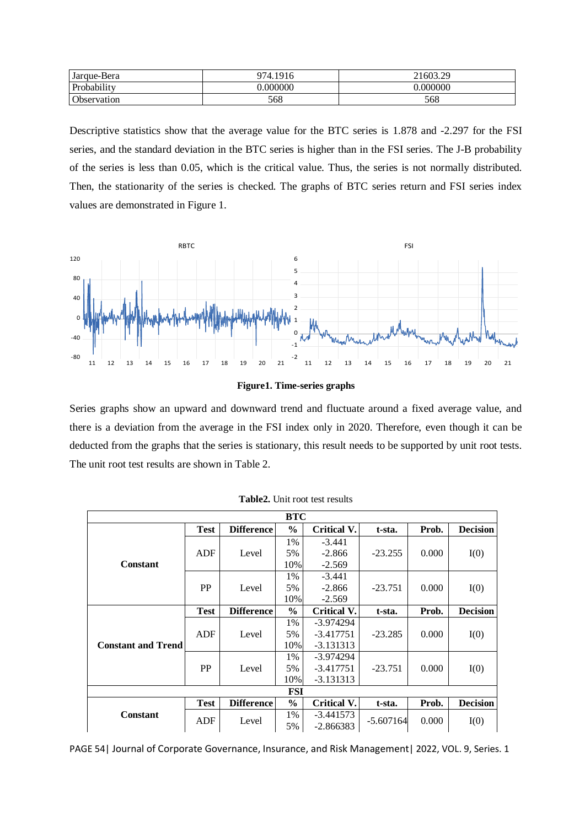| Jarque-Bera | 974.1916 | 21603.29 |
|-------------|----------|----------|
| Probability | .000000  | .000000  |
| Observation | 568      | 568      |

Descriptive statistics show that the average value for the BTC series is 1.878 and -2.297 for the FSI series, and the standard deviation in the BTC series is higher than in the FSI series. The J-B probability of the series is less than 0.05, which is the critical value. Thus, the series is not normally distributed. Then, the stationarity of the series is checked. The graphs of BTC series return and FSI series index values are demonstrated in Figure 1.





Series graphs show an upward and downward trend and fluctuate around a fixed average value, and there is a deviation from the average in the FSI index only in 2020. Therefore, even though it can be deducted from the graphs that the series is stationary, this result needs to be supported by unit root tests. The unit root test results are shown in Table 2.

| <b>BTC</b>                |             |                   |               |                    |             |       |                 |
|---------------------------|-------------|-------------------|---------------|--------------------|-------------|-------|-----------------|
|                           | <b>Test</b> | <b>Difference</b> | $\frac{6}{9}$ | Critical V.        | t-sta.      | Prob. | <b>Decision</b> |
|                           |             |                   | 1%            | $-3.441$           |             |       |                 |
|                           | ADF         | Level             | 5%            | $-2.866$           | $-23.255$   | 0.000 | I(0)            |
| <b>Constant</b>           |             |                   | 10%           | $-2.569$           |             |       |                 |
|                           |             |                   | 1%            | $-3.441$           |             |       |                 |
|                           | PP          | Level             | 5%            | $-2.866$           | $-23.751$   | 0.000 | I(0)            |
|                           |             |                   | 10%           | $-2.569$           |             |       |                 |
|                           | <b>Test</b> | <b>Difference</b> | $\frac{0}{0}$ | Critical V.        | t-sta.      | Prob. | <b>Decision</b> |
|                           |             |                   | 1%            | $-3.974294$        |             |       |                 |
|                           | ADF         | Level             | 5%            | $-3.417751$        | $-23.285$   | 0.000 | I(0)            |
| <b>Constant and Trend</b> |             |                   | 10%           | $-3.131313$        |             |       |                 |
|                           |             |                   | 1%            | -3.974294          |             |       |                 |
|                           | PP          | Level             | 5%            | $-3.417751$        | $-23.751$   | 0.000 | I(0)            |
|                           |             |                   | 10%           | $-3.131313$        |             |       |                 |
| FSI                       |             |                   |               |                    |             |       |                 |
|                           | <b>Test</b> | <b>Difference</b> | $\frac{6}{6}$ | <b>Critical V.</b> | t-sta.      | Prob. | <b>Decision</b> |
| <b>Constant</b>           | ADF         | Level             | 1%            | $-3.441573$        | $-5.607164$ | 0.000 | I(0)            |
|                           |             | 5%                | $-2.866383$   |                    |             |       |                 |

PAGE 54| Journal of Corporate Governance, Insurance, and Risk Management| 2022, VOL. 9, Series. 1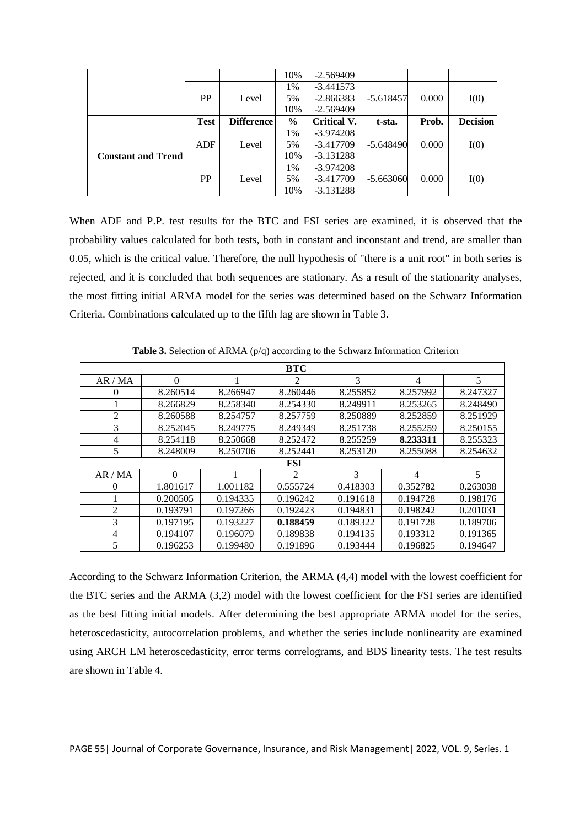|                           |             |                   | 10%           | $-2.569409$        |             |       |                 |
|---------------------------|-------------|-------------------|---------------|--------------------|-------------|-------|-----------------|
|                           |             |                   | 1%            | $-3.441573$        |             |       |                 |
|                           | PP          | Level             | 5%            | $-2.866383$        | $-5.618457$ | 0.000 | I(0)            |
|                           |             |                   | 10%           | $-2.569409$        |             |       |                 |
|                           | <b>Test</b> | <b>Difference</b> | $\frac{6}{9}$ | <b>Critical V.</b> | t-sta.      | Prob. | <b>Decision</b> |
|                           |             |                   | 1%            | $-3.974208$        |             |       |                 |
|                           | <b>ADF</b>  | Level             | 5%            | $-3.417709$        | $-5.648490$ | 0.000 | I(0)            |
| <b>Constant and Trend</b> |             |                   | 10%           | $-3.131288$        |             |       |                 |
|                           |             |                   | 1%            | $-3.974208$        |             |       |                 |
|                           | PP          | Level             | 5%            | $-3.417709$        | $-5.663060$ | 0.000 | I(0)            |
|                           |             |                   | 10%           | $-3.131288$        |             |       |                 |

When ADF and P.P. test results for the BTC and FSI series are examined, it is observed that the probability values calculated for both tests, both in constant and inconstant and trend, are smaller than 0.05, which is the critical value. Therefore, the null hypothesis of "there is a unit root" in both series is rejected, and it is concluded that both sequences are stationary. As a result of the stationarity analyses, the most fitting initial ARMA model for the series was determined based on the Schwarz Information Criteria. Combinations calculated up to the fifth lag are shown in Table 3.

|          |          |          | <b>BTC</b>     |          |                          |          |
|----------|----------|----------|----------------|----------|--------------------------|----------|
| AR/MA    | $\Omega$ |          | 2              | 3        | $\overline{\mathcal{A}}$ | 5        |
| $\theta$ | 8.260514 | 8.266947 | 8.260446       | 8.255852 | 8.257992                 | 8.247327 |
|          | 8.266829 | 8.258340 | 8.254330       | 8.249911 | 8.253265                 | 8.248490 |
| 2        | 8.260588 | 8.254757 | 8.257759       | 8.250889 | 8.252859                 | 8.251929 |
| 3        | 8.252045 | 8.249775 | 8.249349       | 8.251738 | 8.255259                 | 8.250155 |
| 4        | 8.254118 | 8.250668 | 8.252472       | 8.255259 | 8.233311                 | 8.255323 |
| 5        | 8.248009 | 8.250706 | 8.252441       | 8.253120 | 8.255088                 | 8.254632 |
|          |          |          | <b>FSI</b>     |          |                          |          |
| AR/MA    | $\Omega$ |          | $\mathfrak{D}$ | 3        | 4                        | 5        |
| 0        | 1.801617 | 1.001182 | 0.555724       | 0.418303 | 0.352782                 | 0.263038 |
|          | 0.200505 | 0.194335 | 0.196242       | 0.191618 | 0.194728                 | 0.198176 |
| 2        | 0.193791 | 0.197266 | 0.192423       | 0.194831 | 0.198242                 | 0.201031 |
| 3        | 0.197195 | 0.193227 | 0.188459       | 0.189322 | 0.191728                 | 0.189706 |
| 4        | 0.194107 | 0.196079 | 0.189838       | 0.194135 | 0.193312                 | 0.191365 |
| 5        | 0.196253 | 0.199480 | 0.191896       | 0.193444 | 0.196825                 | 0.194647 |

**Table 3.** Selection of ARMA (p/q) according to the Schwarz Information Criterion

According to the Schwarz Information Criterion, the ARMA (4,4) model with the lowest coefficient for the BTC series and the ARMA (3,2) model with the lowest coefficient for the FSI series are identified as the best fitting initial models. After determining the best appropriate ARMA model for the series, heteroscedasticity, autocorrelation problems, and whether the series include nonlinearity are examined using ARCH LM heteroscedasticity, error terms correlograms, and BDS linearity tests. The test results are shown in Table 4.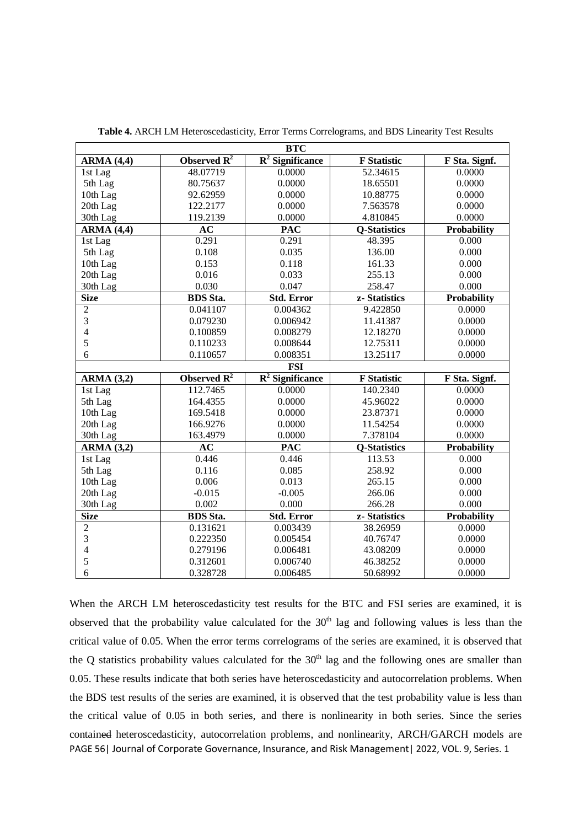| <b>BTC</b>                     |                                    |                               |                     |                    |  |
|--------------------------------|------------------------------------|-------------------------------|---------------------|--------------------|--|
| <b>ARMA (4,4)</b>              | Observed $\overline{\mathbf{R}^2}$ | $\overline{R^2}$ Significance | <b>F</b> Statistic  | F Sta. Signf.      |  |
| 1st Lag                        | 48.07719                           | 0.0000                        | 52.34615            | 0.0000             |  |
| 5th Lag                        | 80.75637                           | 0.0000                        | 18.65501            | 0.0000             |  |
| 10th Lag                       | 92.62959                           | 0.0000                        | 10.88775            | 0.0000             |  |
| 20th Lag                       | 122.2177                           | 0.0000                        | 7.563578            | 0.0000             |  |
| 30th Lag                       | 119.2139                           | 0.0000                        | 4.810845            | 0.0000             |  |
| <b>ARMA (4,4)</b>              | AC                                 | <b>PAC</b>                    | <b>Q-Statistics</b> | Probability        |  |
| 1st Lag                        | 0.291                              | 0.291                         | 48.395              | 0.000              |  |
| 5th Lag                        | 0.108                              | 0.035                         | 136.00              | 0.000              |  |
| 10th Lag                       | 0.153                              | 0.118                         | 161.33              | 0.000              |  |
| 20th Lag                       | 0.016                              | 0.033                         | 255.13              | 0.000              |  |
| 30th Lag                       | 0.030                              | 0.047                         | 258.47              | 0.000              |  |
| <b>Size</b>                    | <b>BDS</b> Sta.                    | <b>Std. Error</b>             | z-Statistics        | Probability        |  |
| $\overline{c}$                 | 0.041107                           | 0.004362                      | 9.422850            | 0.0000             |  |
| $\overline{3}$                 | 0.079230                           | 0.006942                      | 11.41387            | 0.0000             |  |
| $\overline{4}$                 | 0.100859                           | 0.008279                      | 12.18270            | 0.0000             |  |
| 5                              | 0.110233                           | 0.008644                      | 12.75311            | 0.0000             |  |
| 6                              | 0.110657                           | 0.008351                      | 13.25117            | 0.0000             |  |
|                                |                                    | <b>FSI</b>                    |                     |                    |  |
| <b>ARMA (3,2)</b>              | Observed $\mathbb{R}^2$            | $\overline{R^2}$ Significance | <b>F</b> Statistic  | F Sta. Signf.      |  |
| 1st Lag                        | 112.7465                           | 0.0000                        | 140.2340            | 0.0000             |  |
| 5th Lag                        | 164.4355                           | 0.0000                        | 45.96022            | 0.0000             |  |
| 10th Lag                       | 169.5418                           | 0.0000                        | 23.87371            | 0.0000             |  |
| 20th Lag                       | 166.9276                           | 0.0000                        | 11.54254            | 0.0000             |  |
| 30th Lag                       | 163.4979                           | 0.0000                        | 7.378104            | 0.0000             |  |
| $\overline{\text{ARMA}}$ (3,2) | $\overline{AC}$                    | <b>PAC</b>                    | <b>Q-Statistics</b> | Probability        |  |
| 1st Lag                        | 0.446                              | 0.446                         | 113.53              | 0.000              |  |
| 5th Lag                        | 0.116                              | 0.085                         | 258.92              | 0.000              |  |
| 10th Lag                       | 0.006                              | 0.013                         | 265.15              | 0.000              |  |
| 20th Lag                       | $-0.015$                           | $-0.005$                      | 266.06              | 0.000              |  |
| 30th Lag                       | 0.002                              | 0.000                         | 266.28              | 0.000              |  |
| <b>Size</b>                    | <b>BDS</b> Sta.                    | <b>Std. Error</b>             | z-Statistics        | <b>Probability</b> |  |
| $\overline{2}$                 | 0.131621                           | 0.003439                      | 38.26959            | 0.0000             |  |
| $\overline{3}$                 | 0.222350                           | 0.005454                      | 40.76747            | 0.0000             |  |
| $\overline{\mathcal{L}}$       | 0.279196                           | 0.006481                      | 43.08209            | 0.0000             |  |
| 5                              | 0.312601                           | 0.006740                      | 46.38252            | 0.0000             |  |
| 6                              | 0.328728                           | 0.006485                      | 50.68992            | 0.0000             |  |

**Table 4.** ARCH LM Heteroscedasticity, Error Terms Correlograms, and BDS Linearity Test Results

PAGE 56| Journal of Corporate Governance, Insurance, and Risk Management| 2022, VOL. 9, Series. 1 When the ARCH LM heteroscedasticity test results for the BTC and FSI series are examined, it is observed that the probability value calculated for the  $30<sup>th</sup>$  lag and following values is less than the critical value of 0.05. When the error terms correlograms of the series are examined, it is observed that the Q statistics probability values calculated for the  $30<sup>th</sup>$  lag and the following ones are smaller than 0.05. These results indicate that both series have heteroscedasticity and autocorrelation problems. When the BDS test results of the series are examined, it is observed that the test probability value is less than the critical value of 0.05 in both series, and there is nonlinearity in both series. Since the series contained heteroscedasticity, autocorrelation problems, and nonlinearity, ARCH/GARCH models are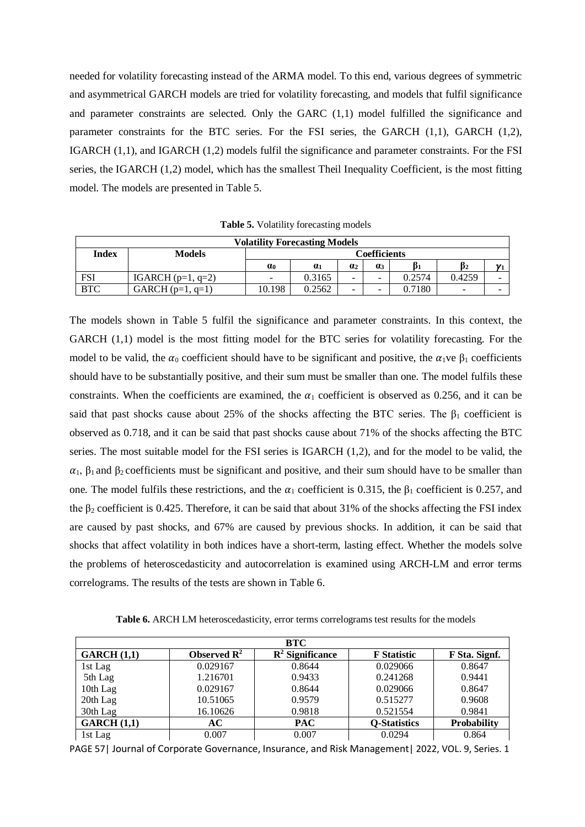needed for volatility forecasting instead of the ARMA model. To this end, various degrees of symmetric and asymmetrical GARCH models are tried for volatility forecasting, and models that fulfil significance and parameter constraints are selected. Only the GARC (1,1) model fulfilled the significance and parameter constraints for the BTC series. For the FSI series, the GARCH (1,1), GARCH (1,2), IGARCH (1,1), and IGARCH (1,2) models fulfil the significance and parameter constraints. For the FSI series, the IGARCH (1,2) model, which has the smallest Theil Inequality Coefficient, is the most fitting model. The models are presented in Table 5.

|              | <b>Volatility Forecasting Models</b> |            |            |                       |                          |        |        |     |
|--------------|--------------------------------------|------------|------------|-----------------------|--------------------------|--------|--------|-----|
| <b>Index</b> | <b>Models</b>                        |            |            |                       | Coefficients             |        |        |     |
|              |                                      | $\alpha_0$ | $\alpha_1$ | $\alpha$ <sub>2</sub> | 0 <sup>3</sup>           |        | B2     | 171 |
| FSI          | IGARCH $(p=1, q=2)$                  | -          | 0.3165     | -                     | $\overline{\phantom{0}}$ | 0.2574 | 0.4259 |     |
| <b>BTC</b>   | $GARCH(p=1, q=1)$                    | 10.198     | 0.2562     | -                     | -                        | 0.7180 | -      |     |

**Table 5.** Volatility forecasting models

The models shown in Table 5 fulfil the significance and parameter constraints. In this context, the GARCH  $(1,1)$  model is the most fitting model for the BTC series for volatility forecasting. For the model to be valid, the  $\alpha_0$  coefficient should have to be significant and positive, the  $\alpha_1$ ve  $\beta_1$  coefficients should have to be substantially positive, and their sum must be smaller than one. The model fulfils these constraints. When the coefficients are examined, the  $\alpha_1$  coefficient is observed as 0.256, and it can be said that past shocks cause about 25% of the shocks affecting the BTC series. The  $\beta_1$  coefficient is observed as 0.718, and it can be said that past shocks cause about 71% of the shocks affecting the BTC series. The most suitable model for the FSI series is IGARCH (1,2), and for the model to be valid, the  $\alpha_1$ ,  $\beta_1$  and  $\beta_2$  coefficients must be significant and positive, and their sum should have to be smaller than one. The model fulfils these restrictions, and the  $\alpha_1$  coefficient is 0.315, the  $\beta_1$  coefficient is 0.257, and the  $\beta_2$  coefficient is 0.425. Therefore, it can be said that about 31% of the shocks affecting the FSI index are caused by past shocks, and 67% are caused by previous shocks. In addition, it can be said that shocks that affect volatility in both indices have a short-term, lasting effect. Whether the models solve the problems of heteroscedasticity and autocorrelation is examined using ARCH-LM and error terms correlograms. The results of the tests are shown in Table 6.

**Table 6.** ARCH LM heteroscedasticity, error terms correlograms test results for the models

|            |                         | BTC                         |                     |                    |
|------------|-------------------------|-----------------------------|---------------------|--------------------|
| GARCH(1,1) | Observed $\mathbb{R}^2$ | $\mathbb{R}^2$ Significance | <b>F</b> Statistic  | F Sta. Signf.      |
| 1st Lag    | 0.029167                | 0.8644                      | 0.029066            | 0.8647             |
| 5th Lag    | 1.216701                | 0.9433                      | 0.241268            | 0.9441             |
| 10th Lag   | 0.029167                | 0.8644                      | 0.029066            | 0.8647             |
| 20th Lag   | 10.51065                | 0.9579                      | 0.515277            | 0.9608             |
| 30th Lag   | 16.10626                | 0.9818                      | 0.521554            | 0.9841             |
| GARCH(1,1) | AC                      | <b>PAC</b>                  | <b>Q-Statistics</b> | <b>Probability</b> |
| 1st Lag    | 0.007                   | 0.007                       | 0.0294              | 0.864              |

PAGE 57| Journal of Corporate Governance, Insurance, and Risk Management| 2022, VOL. 9, Series. 1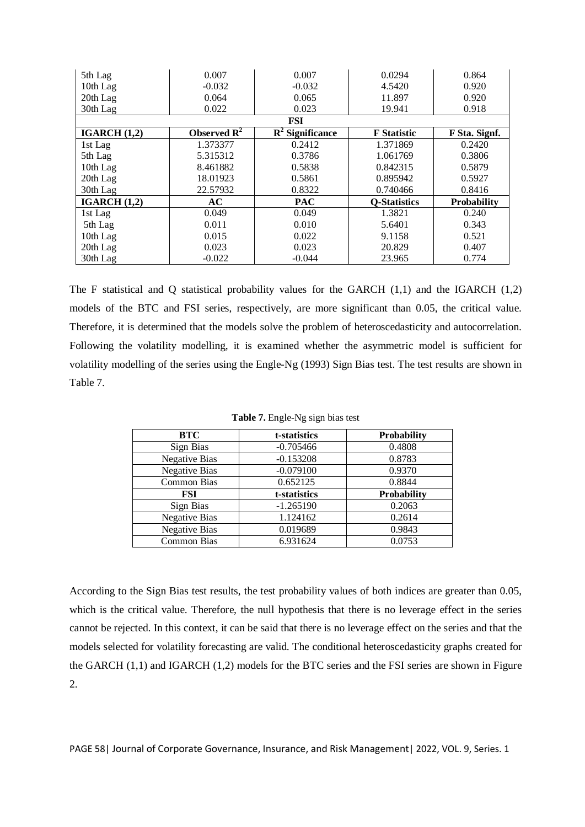| 5th Lag        | 0.007                   | 0.007                       | 0.0294              | 0.864              |
|----------------|-------------------------|-----------------------------|---------------------|--------------------|
| 10th Lag       | $-0.032$                | $-0.032$                    | 4.5420              | 0.920              |
| 20th Lag       | 0.064                   | 0.065                       | 11.897              | 0.920              |
| 30th Lag       | 0.022                   | 0.023                       | 19.941              | 0.918              |
|                |                         | <b>FSI</b>                  |                     |                    |
| IGARCH(1,2)    | Observed $\mathbb{R}^2$ | $\mathbb{R}^2$ Significance | <b>F</b> Statistic  | F Sta. Signf.      |
| 1st Lag        | 1.373377                | 0.2412                      | 1.371869            | 0.2420             |
| 5th Lag        | 5.315312                | 0.3786                      | 1.061769            | 0.3806             |
| 10th Lag       | 8.461882                | 0.5838                      | 0.842315            | 0.5879             |
| 20th Lag       | 18.01923                | 0.5861                      | 0.895942            | 0.5927             |
| 30th Lag       | 22.57932                | 0.8322                      | 0.740466            | 0.8416             |
| IGARCH $(1,2)$ | AC                      | <b>PAC</b>                  | <b>Q-Statistics</b> | <b>Probability</b> |
| 1st Lag        | 0.049                   | 0.049                       | 1.3821              | 0.240              |
| 5th Lag        | 0.011                   | 0.010                       | 5.6401              | 0.343              |
| 10th Lag       | 0.015                   | 0.022                       | 9.1158              | 0.521              |
| 20th Lag       | 0.023                   | 0.023                       | 20.829              | 0.407              |
| 30th Lag       | $-0.022$                | $-0.044$                    | 23.965              | 0.774              |

The F statistical and Q statistical probability values for the GARCH (1,1) and the IGARCH (1,2) models of the BTC and FSI series, respectively, are more significant than 0.05, the critical value. Therefore, it is determined that the models solve the problem of heteroscedasticity and autocorrelation. Following the volatility modelling, it is examined whether the asymmetric model is sufficient for volatility modelling of the series using the Engle-Ng (1993) Sign Bias test. The test results are shown in Table 7.

| <b>BTC</b>           | t-statistics | Probability        |
|----------------------|--------------|--------------------|
| Sign Bias            | $-0.705466$  | 0.4808             |
| <b>Negative Bias</b> | $-0.153208$  | 0.8783             |
| <b>Negative Bias</b> | $-0.079100$  | 0.9370             |
| Common Bias          | 0.652125     | 0.8844             |
| FSI                  | t-statistics | <b>Probability</b> |
| Sign Bias            | $-1.265190$  | 0.2063             |
| <b>Negative Bias</b> | 1.124162     | 0.2614             |
| <b>Negative Bias</b> | 0.019689     | 0.9843             |
| Common Bias          | 6.931624     | 0.0753             |

**Table 7.** Engle-Ng sign bias test

According to the Sign Bias test results, the test probability values of both indices are greater than 0.05, which is the critical value. Therefore, the null hypothesis that there is no leverage effect in the series cannot be rejected. In this context, it can be said that there is no leverage effect on the series and that the models selected for volatility forecasting are valid. The conditional heteroscedasticity graphs created for the GARCH (1,1) and IGARCH (1,2) models for the BTC series and the FSI series are shown in Figure 2.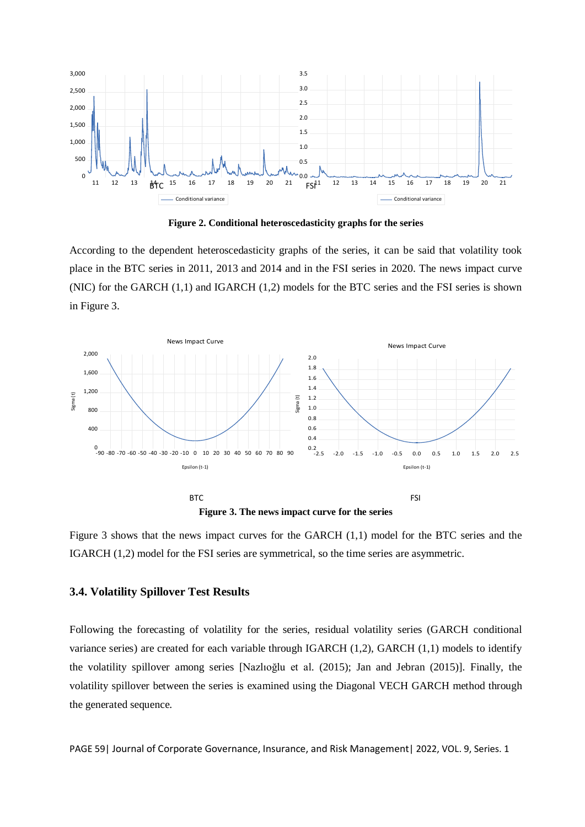

**Figure 2. Conditional heteroscedasticity graphs for the series** 

According to the dependent heteroscedasticity graphs of the series, it can be said that volatility took place in the BTC series in 2011, 2013 and 2014 and in the FSI series in 2020. The news impact curve (NIC) for the GARCH (1,1) and IGARCH (1,2) models for the BTC series and the FSI series is shown in Figure 3.



**Figure 3. The news impact curve for the series**

Figure 3 shows that the news impact curves for the GARCH (1,1) model for the BTC series and the IGARCH (1,2) model for the FSI series are symmetrical, so the time series are asymmetric.

## **3.4. Volatility Spillover Test Results**

Following the forecasting of volatility for the series, residual volatility series (GARCH conditional variance series) are created for each variable through IGARCH (1,2), GARCH (1,1) models to identify the volatility spillover among series [Nazlıoğlu et al. (2015); Jan and Jebran (2015)]. Finally, the volatility spillover between the series is examined using the Diagonal VECH GARCH method through the generated sequence.

PAGE 59| Journal of Corporate Governance, Insurance, and Risk Management | 2022, VOL. 9, Series. 1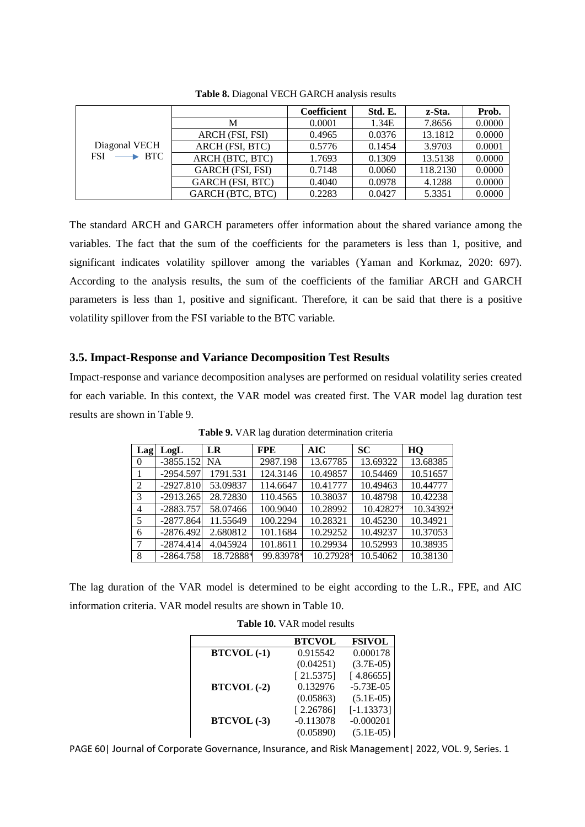|                           |                  | <b>Coefficient</b> | Std. E. | z-Sta.   | Prob.  |
|---------------------------|------------------|--------------------|---------|----------|--------|
|                           | М                | 0.0001             | 1.34E   | 7.8656   | 0.0000 |
|                           | ARCH (FSI, FSI)  | 0.4965             | 0.0376  | 13.1812  | 0.0000 |
| Diagonal VECH             | ARCH (FSI, BTC)  | 0.5776             | 0.1454  | 3.9703   | 0.0001 |
| $FSI \longrightarrow BTC$ | ARCH (BTC, BTC)  | 1.7693             | 0.1309  | 13.5138  | 0.0000 |
|                           | GARCH (FSI, FSI) | 0.7148             | 0.0060  | 118.2130 | 0.0000 |
|                           | GARCH (FSI, BTC) | 0.4040             | 0.0978  | 4.1288   | 0.0000 |
|                           | GARCH (BTC, BTC) | 0.2283             | 0.0427  | 5.3351   | 0.0000 |

**Table 8.** Diagonal VECH GARCH analysis results

The standard ARCH and GARCH parameters offer information about the shared variance among the variables. The fact that the sum of the coefficients for the parameters is less than 1, positive, and significant indicates volatility spillover among the variables (Yaman and Korkmaz, 2020: 697). According to the analysis results, the sum of the coefficients of the familiar ARCH and GARCH parameters is less than 1, positive and significant. Therefore, it can be said that there is a positive volatility spillover from the FSI variable to the BTC variable.

# **3.5. Impact-Response and Variance Decomposition Test Results**

Impact-response and variance decomposition analyses are performed on residual volatility series created for each variable. In this context, the VAR model was created first. The VAR model lag duration test results are shown in Table 9.

| Lag            | LogL        | <b>LR</b> | <b>FPE</b> | <b>AIC</b> | <b>SC</b> | HQ        |
|----------------|-------------|-----------|------------|------------|-----------|-----------|
| $\Omega$       | $-3855.152$ | <b>NA</b> | 2987.198   | 13.67785   | 13.69322  | 13.68385  |
| 1              | $-2954.597$ | 1791.531  | 124.3146   | 10.49857   | 10.54469  | 10.51657  |
| 2              | $-2927.810$ | 53.09837  | 114.6647   | 10.41777   | 10.49463  | 10.44777  |
| 3              | $-2913.265$ | 28.72830  | 110.4565   | 10.38037   | 10.48798  | 10.42238  |
| $\overline{4}$ | $-2883.757$ | 58.07466  | 100.9040   | 10.28992   | 10.42827* | 10.34392* |
| 5              | $-2877.864$ | 11.55649  | 100.2294   | 10.28321   | 10.45230  | 10.34921  |
| 6              | $-2876.492$ | 2.680812  | 101.1684   | 10.29252   | 10.49237  | 10.37053  |
| 7              | $-2874.414$ | 4.045924  | 101.8611   | 10.29934   | 10.52993  | 10.38935  |
| 8              | $-2864.758$ | 18.72888* | 99.83978*  | 10.27928*  | 10.54062  | 10.38130  |

**Table 9.** VAR lag duration determination criteria

The lag duration of the VAR model is determined to be eight according to the L.R., FPE, and AIC information criteria. VAR model results are shown in Table 10.

| <b>LAULE TV.</b> $Y \cap W$ invalued results |               |               |  |  |  |
|----------------------------------------------|---------------|---------------|--|--|--|
|                                              | <b>BTCVOL</b> | <b>FSIVOL</b> |  |  |  |
| <b>BTCVOL</b> (-1)                           | 0.915542      | 0.000178      |  |  |  |
|                                              | (0.04251)     | $(3.7E-05)$   |  |  |  |
|                                              | [21.5375]     | [4.86655]     |  |  |  |
| <b>BTCVOL</b> (-2)                           | 0.132976      | $-5.73E-05$   |  |  |  |
|                                              | (0.05863)     | $(5.1E-05)$   |  |  |  |
|                                              | [2.26786]     | $[-1.13373]$  |  |  |  |
| <b>BTCVOL</b> (-3)                           | $-0.113078$   | $-0.000201$   |  |  |  |
|                                              | (0.05890)     | $(5.1E-05)$   |  |  |  |

**Table 10.** VAR model results

PAGE 60| Journal of Corporate Governance, Insurance, and Risk Management| 2022, VOL. 9, Series. 1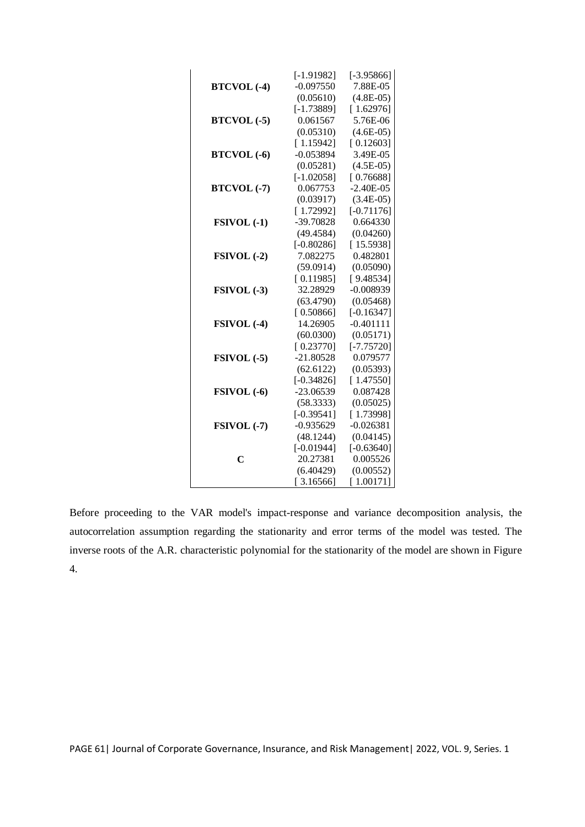|                    | $[-1.91982]$ | $[-3.95866]$  |
|--------------------|--------------|---------------|
| <b>BTCVOL</b> (-4) | $-0.097550$  | 7.88E-05      |
|                    | (0.05610)    | $(4.8E-05)$   |
|                    | $[-1.73889]$ | [1.62976]     |
| <b>BTCVOL</b> (-5) | 0.061567     | 5.76E-06      |
|                    | (0.05310)    | $(4.6E-05)$   |
|                    | [1.15942]    | [0.12603]     |
| <b>BTCVOL</b> (-6) | $-0.053894$  | 3.49E-05      |
|                    | (0.05281)    | $(4.5E-05)$   |
|                    | $[-1.02058]$ | [0.76688]     |
| <b>BTCVOL</b> (-7) | 0.067753     | $-2.40E - 05$ |
|                    | (0.03917)    | $(3.4E-05)$   |
|                    | [1.72992]    | $[-0.71176]$  |
| FSIVOL (-1)        | -39.70828    | 0.664330      |
|                    | (49.4584)    | (0.04260)     |
|                    | $[-0.80286]$ | [15.5938]     |
| FSIVOL (-2)        | 7.082275     | 0.482801      |
|                    | (59.0914)    | (0.05090)     |
|                    | [0.11985]    | [9.48534]     |
| FSIVOL (-3)        | 32.28929     | $-0.008939$   |
|                    | (63.4790)    | (0.05468)     |
|                    | [0.50866]    | $[-0.16347]$  |
| FSIVOL (-4)        | 14.26905     | $-0.401111$   |
|                    | (60.0300)    | (0.05171)     |
|                    | [0.23770]    | $[-7.75720]$  |
| $FSIVOL$ $(-5)$    | $-21.80528$  | 0.079577      |
|                    | (62.6122)    | (0.05393)     |
|                    | $[-0.34826]$ | [1.47550]     |
| FSIVOL (-6)        | $-23.06539$  | 0.087428      |
|                    | (58.3333)    | (0.05025)     |
|                    | $[-0.39541]$ | [1.73998]     |
| FSIVOL (-7)        | $-0.935629$  | $-0.026381$   |
|                    | (48.1244)    | (0.04145)     |
|                    | $[-0.01944]$ | $[-0.63640]$  |
| $\overline{C}$     | 20.27381     | 0.005526      |
|                    | (6.40429)    | (0.00552)     |
|                    | [3.16566]    | [1.00171]     |

Before proceeding to the VAR model's impact-response and variance decomposition analysis, the autocorrelation assumption regarding the stationarity and error terms of the model was tested. The inverse roots of the A.R. characteristic polynomial for the stationarity of the model are shown in Figure 4.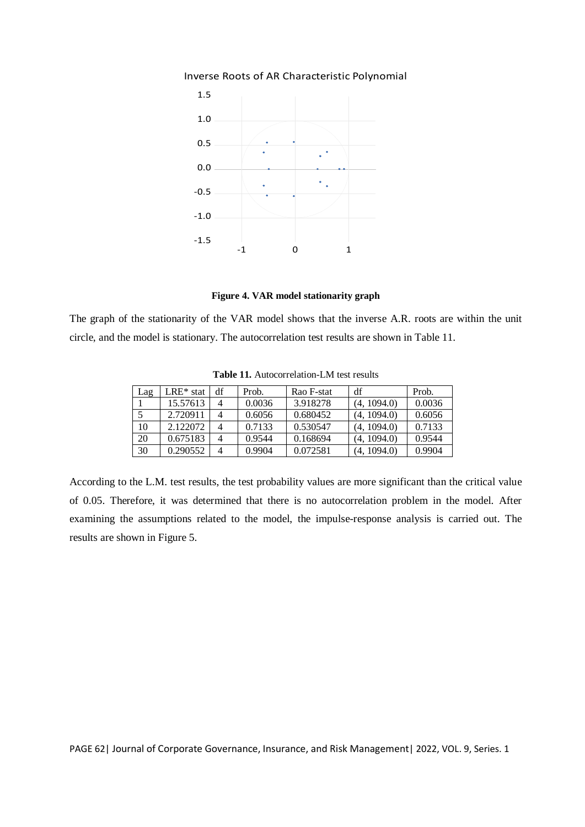





The graph of the stationarity of the VAR model shows that the inverse A.R. roots are within the unit circle, and the model is stationary. The autocorrelation test results are shown in Table 11.

| Lag | $LRE*$ stat | df             | Prob.  | Rao F-stat | df          | Prob.  |
|-----|-------------|----------------|--------|------------|-------------|--------|
|     | 15.57613    | $\overline{4}$ | 0.0036 | 3.918278   | (4, 1094.0) | 0.0036 |
| 5   | 2.720911    |                | 0.6056 | 0.680452   | (4, 1094.0) | 0.6056 |
| 10  | 2.122072    | 4              | 0.7133 | 0.530547   | (4, 1094.0) | 0.7133 |
| 20  | 0.675183    | 4              | 0.9544 | 0.168694   | (4, 1094.0) | 0.9544 |
| 30  | 0.290552    | $\overline{4}$ | 0.9904 | 0.072581   | (4, 1094.0) | 0.9904 |

**Table 11.** Autocorrelation-LM test results

According to the L.M. test results, the test probability values are more significant than the critical value of 0.05. Therefore, it was determined that there is no autocorrelation problem in the model. After examining the assumptions related to the model, the impulse-response analysis is carried out. The results are shown in Figure 5.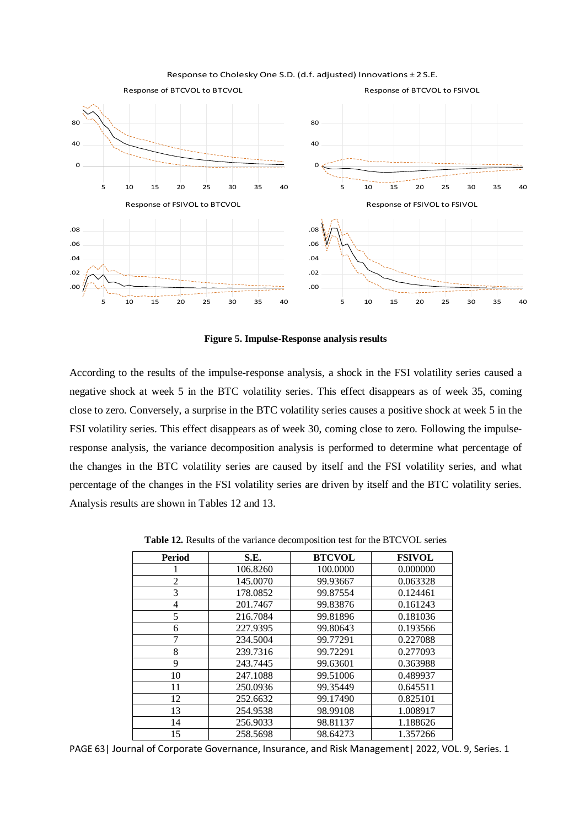

Response to Cholesky One S.D. (d.f. adjusted) Innovations ± 2 S.E.

**Figure 5. Impulse-Response analysis results**

According to the results of the impulse-response analysis, a shock in the FSI volatility series caused a negative shock at week 5 in the BTC volatility series. This effect disappears as of week 35, coming close to zero. Conversely, a surprise in the BTC volatility series causes a positive shock at week 5 in the FSI volatility series. This effect disappears as of week 30, coming close to zero. Following the impulseresponse analysis, the variance decomposition analysis is performed to determine what percentage of the changes in the BTC volatility series are caused by itself and the FSI volatility series, and what percentage of the changes in the FSI volatility series are driven by itself and the BTC volatility series. Analysis results are shown in Tables 12 and 13.

| Period         | S.E.     | <b>BTCVOL</b> | <b>FSIVOL</b> |
|----------------|----------|---------------|---------------|
|                | 106.8260 | 100.0000      | 0.000000      |
| $\overline{2}$ | 145.0070 | 99.93667      | 0.063328      |
| 3              | 178.0852 | 99.87554      | 0.124461      |
| 4              | 201.7467 | 99.83876      | 0.161243      |
| 5              | 216.7084 | 99.81896      | 0.181036      |
| 6              | 227.9395 | 99.80643      | 0.193566      |
|                | 234.5004 | 99.77291      | 0.227088      |
| 8              | 239.7316 | 99.72291      | 0.277093      |
| 9              | 243.7445 | 99.63601      | 0.363988      |
| 10             | 247.1088 | 99.51006      | 0.489937      |
| 11             | 250.0936 | 99.35449      | 0.645511      |
| 12             | 252.6632 | 99.17490      | 0.825101      |
| 13             | 254.9538 | 98.99108      | 1.008917      |
| 14             | 256.9033 | 98.81137      | 1.188626      |
| 15             | 258.5698 | 98.64273      | 1.357266      |

**Table 12.** Results of the variance decomposition test for the BTCVOL series

PAGE 63| Journal of Corporate Governance, Insurance, and Risk Management| 2022, VOL. 9, Series. 1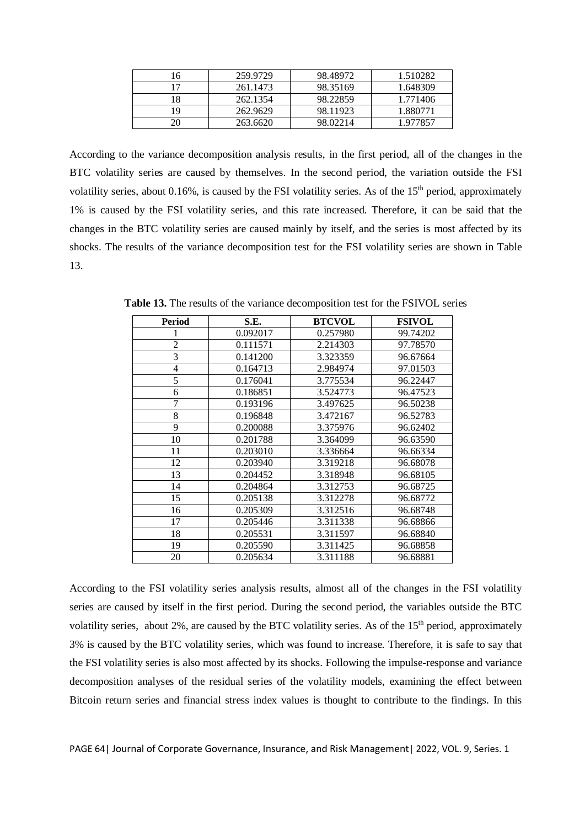|    | 259.9729 | 98.48972 | 1.510282 |
|----|----------|----------|----------|
|    | 261.1473 | 98.35169 | 1.648309 |
| 8  | 262.1354 | 98.22859 | 1.771406 |
| 9  | 262.9629 | 98.11923 | 1.880771 |
| 20 | 263.6620 | 98.02214 | 1.977857 |

According to the variance decomposition analysis results, in the first period, all of the changes in the BTC volatility series are caused by themselves. In the second period, the variation outside the FSI volatility series, about 0.16%, is caused by the FSI volatility series. As of the  $15<sup>th</sup>$  period, approximately 1% is caused by the FSI volatility series, and this rate increased. Therefore, it can be said that the changes in the BTC volatility series are caused mainly by itself, and the series is most affected by its shocks. The results of the variance decomposition test for the FSI volatility series are shown in Table 13.

| Period         | S.E.     | <b>BTCVOL</b> | <b>FSIVOL</b> |
|----------------|----------|---------------|---------------|
|                | 0.092017 | 0.257980      | 99.74202      |
| $\overline{2}$ | 0.111571 | 2.214303      | 97.78570      |
| 3              | 0.141200 | 3.323359      | 96.67664      |
| 4              | 0.164713 | 2.984974      | 97.01503      |
| 5              | 0.176041 | 3.775534      | 96.22447      |
| 6              | 0.186851 | 3.524773      | 96.47523      |
| 7              | 0.193196 | 3.497625      | 96.50238      |
| 8              | 0.196848 | 3.472167      | 96.52783      |
| 9              | 0.200088 | 3.375976      | 96.62402      |
| 10             | 0.201788 | 3.364099      | 96.63590      |
| 11             | 0.203010 | 3.336664      | 96.66334      |
| 12             | 0.203940 | 3.319218      | 96.68078      |
| 13             | 0.204452 | 3.318948      | 96.68105      |
| 14             | 0.204864 | 3.312753      | 96.68725      |
| 15             | 0.205138 | 3.312278      | 96.68772      |
| 16             | 0.205309 | 3.312516      | 96.68748      |
| 17             | 0.205446 | 3.311338      | 96.68866      |
| 18             | 0.205531 | 3.311597      | 96.68840      |
| 19             | 0.205590 | 3.311425      | 96.68858      |
| 20             | 0.205634 | 3.311188      | 96.68881      |

**Table 13.** The results of the variance decomposition test for the FSIVOL series

According to the FSI volatility series analysis results, almost all of the changes in the FSI volatility series are caused by itself in the first period. During the second period, the variables outside the BTC volatility series, about 2%, are caused by the BTC volatility series. As of the  $15<sup>th</sup>$  period, approximately 3% is caused by the BTC volatility series, which was found to increase. Therefore, it is safe to say that the FSI volatility series is also most affected by its shocks. Following the impulse-response and variance decomposition analyses of the residual series of the volatility models, examining the effect between Bitcoin return series and financial stress index values is thought to contribute to the findings. In this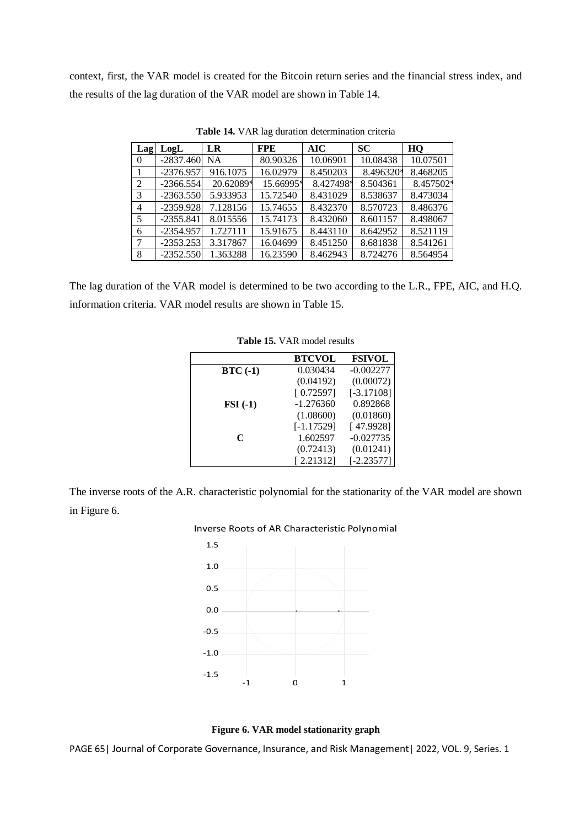context, first, the VAR model is created for the Bitcoin return series and the financial stress index, and the results of the lag duration of the VAR model are shown in Table 14.

| Lag      | LogL        | LR        | <b>FPE</b> | <b>AIC</b> | <b>SC</b> | HQ        |
|----------|-------------|-----------|------------|------------|-----------|-----------|
| $\Omega$ | $-2837.460$ | <b>NA</b> | 80.90326   | 10.06901   | 10.08438  | 10.07501  |
|          | $-2376.957$ | 916.1075  | 16.02979   | 8.450203   | 8.496320* | 8.468205  |
| 2        | $-2366.554$ | 20.62089* | 15.66995*  | 8.427498*  | 8.504361  | 8.457502* |
| 3        | $-2363.550$ | 5.933953  | 15.72540   | 8.431029   | 8.538637  | 8.473034  |
| 4        | $-2359.928$ | 7.128156  | 15.74655   | 8.432370   | 8.570723  | 8.486376  |
| 5        | $-2355.841$ | 8.015556  | 15.74173   | 8.432060   | 8.601157  | 8.498067  |
| 6        | $-2354.957$ | 1.727111  | 15.91675   | 8.443110   | 8.642952  | 8.521119  |
| 7        | $-2353.253$ | 3.317867  | 16.04699   | 8.451250   | 8.681838  | 8.541261  |
| 8        | $-2352.550$ | 1.363288  | 16.23590   | 8.462943   | 8.724276  | 8.564954  |

**Table 14.** VAR lag duration determination criteria

The lag duration of the VAR model is determined to be two according to the L.R., FPE, AIC, and H.Q. information criteria. VAR model results are shown in Table 15.

|                    | <b>BTCVOL</b> | <b>FSIVOL</b> |
|--------------------|---------------|---------------|
| $BTC(-1)$          | 0.030434      | $-0.002277$   |
|                    | (0.04192)     | (0.00072)     |
|                    | [0.72597]     | $[-3.17108]$  |
| $\textbf{FSI}(-1)$ | $-1.276360$   | 0.892868      |
|                    | (1.08600)     | (0.01860)     |
|                    | $[-1.17529]$  | [47.9928]     |
| C                  | 1.602597      | $-0.027735$   |
|                    | (0.72413)     | (0.01241)     |
|                    | [2.21312]     | $[-2.23577]$  |

**Table 15.** VAR model results

The inverse roots of the A.R. characteristic polynomial for the stationarity of the VAR model are shown in Figure 6.

## Inverse Roots of AR Characteristic Polynomial





PAGE 65| Journal of Corporate Governance, Insurance, and Risk Management| 2022, VOL. 9, Series. 1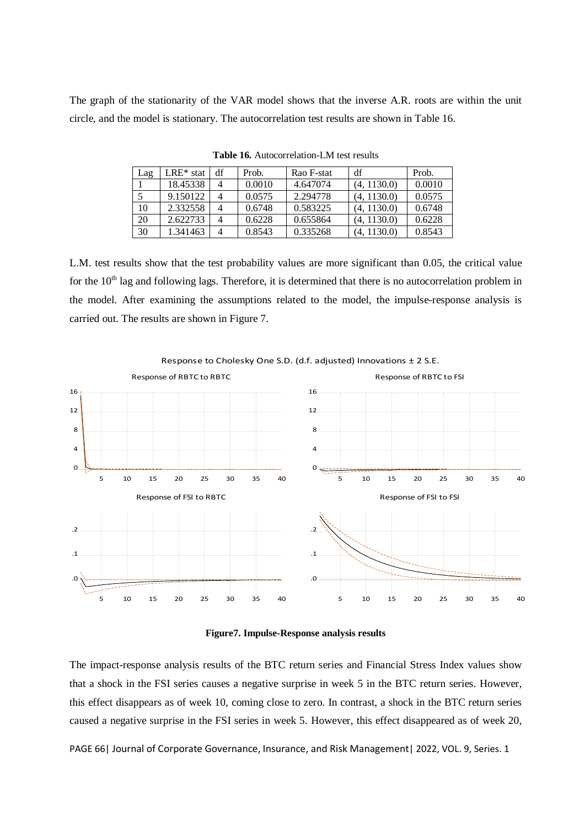The graph of the stationarity of the VAR model shows that the inverse A.R. roots are within the unit circle, and the model is stationary. The autocorrelation test results are shown in Table 16.

| Lag | $LRE*$ stat | df | Prob.  | Rao F-stat | df          | Prob.  |
|-----|-------------|----|--------|------------|-------------|--------|
|     | 18.45338    | 4  | 0.0010 | 4.647074   | (4, 1130.0) | 0.0010 |
|     | 9.150122    | 4  | 0.0575 | 2.294778   | (4, 1130.0) | 0.0575 |
| 10  | 2.332558    | 4  | 0.6748 | 0.583225   | (4, 1130.0) | 0.6748 |
| 20  | 2.622733    | 4  | 0.6228 | 0.655864   | (4, 1130.0) | 0.6228 |
| 30  | 1.341463    | 4  | 0.8543 | 0.335268   | (4. 1130.0) | 0.8543 |

**Table 16.** Autocorrelation-LM test results

L.M. test results show that the test probability values are more significant than 0.05, the critical value for the  $10<sup>th</sup>$  lag and following lags. Therefore, it is determined that there is no autocorrelation problem in the model. After examining the assumptions related to the model, the impulse-response analysis is carried out. The results are shown in Figure 7.



**Figure7. Impulse-Response analysis results**

The impact-response analysis results of the BTC return series and Financial Stress Index values show that a shock in the FSI series causes a negative surprise in week 5 in the BTC return series. However, this effect disappears as of week 10, coming close to zero. In contrast, a shock in the BTC return series caused a negative surprise in the FSI series in week 5. However, this effect disappeared as of week 20,

PAGE 66| Journal of Corporate Governance, Insurance, and Risk Management| 2022, VOL. 9, Series. 1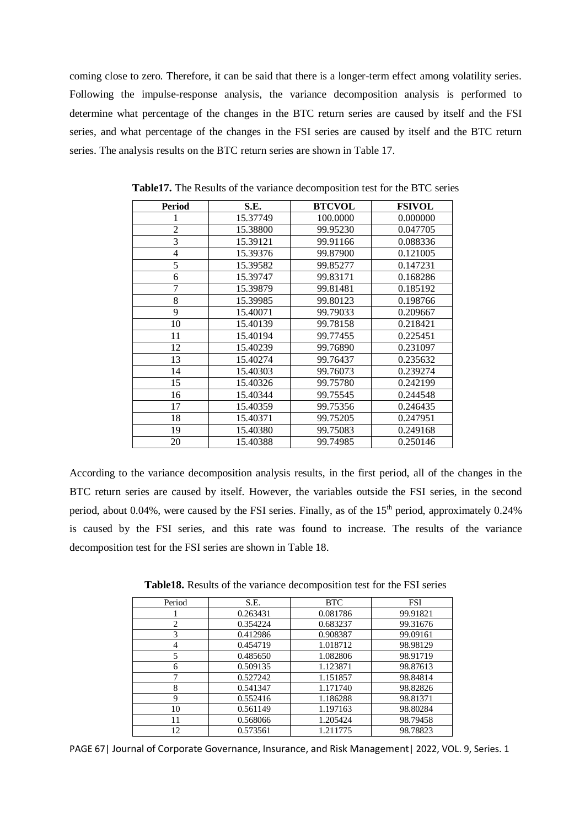coming close to zero. Therefore, it can be said that there is a longer-term effect among volatility series. Following the impulse-response analysis, the variance decomposition analysis is performed to determine what percentage of the changes in the BTC return series are caused by itself and the FSI series, and what percentage of the changes in the FSI series are caused by itself and the BTC return series. The analysis results on the BTC return series are shown in Table 17.

| <b>Period</b>  | S.E.     | <b>BTCVOL</b> | <b>FSIVOL</b> |
|----------------|----------|---------------|---------------|
| 1              | 15.37749 | 100.0000      | 0.000000      |
| $\overline{c}$ | 15.38800 | 99.95230      | 0.047705      |
| 3              | 15.39121 | 99.91166      | 0.088336      |
| $\overline{4}$ | 15.39376 | 99.87900      | 0.121005      |
| 5              | 15.39582 | 99.85277      | 0.147231      |
| 6              | 15.39747 | 99.83171      | 0.168286      |
| 7              | 15.39879 | 99.81481      | 0.185192      |
| 8              | 15.39985 | 99.80123      | 0.198766      |
| 9              | 15.40071 | 99.79033      | 0.209667      |
| 10             | 15.40139 | 99.78158      | 0.218421      |
| 11             | 15.40194 | 99.77455      | 0.225451      |
| 12             | 15.40239 | 99.76890      | 0.231097      |
| 13             | 15.40274 | 99.76437      | 0.235632      |
| 14             | 15.40303 | 99.76073      | 0.239274      |
| 15             | 15.40326 | 99.75780      | 0.242199      |
| 16             | 15.40344 | 99.75545      | 0.244548      |
| 17             | 15.40359 | 99.75356      | 0.246435      |
| 18             | 15.40371 | 99.75205      | 0.247951      |
| 19             | 15.40380 | 99.75083      | 0.249168      |
| 20             | 15.40388 | 99.74985      | 0.250146      |

**Table17.** The Results of the variance decomposition test for the BTC series

According to the variance decomposition analysis results, in the first period, all of the changes in the BTC return series are caused by itself. However, the variables outside the FSI series, in the second period, about 0.04%, were caused by the FSI series. Finally, as of the 15<sup>th</sup> period, approximately 0.24% is caused by the FSI series, and this rate was found to increase. The results of the variance decomposition test for the FSI series are shown in Table 18.

**Table18.** Results of the variance decomposition test for the FSI series

| Period | S.E.     | <b>BTC</b> | <b>FSI</b> |
|--------|----------|------------|------------|
|        | 0.263431 | 0.081786   | 99.91821   |
| 2      | 0.354224 | 0.683237   | 99.31676   |
| 3      | 0.412986 | 0.908387   | 99.09161   |
|        | 0.454719 | 1.018712   | 98.98129   |
|        | 0.485650 | 1.082806   | 98.91719   |
| 6      | 0.509135 | 1.123871   | 98.87613   |
|        | 0.527242 | 1.151857   | 98.84814   |
| 8      | 0.541347 | 1.171740   | 98.82826   |
| 9      | 0.552416 | 1.186288   | 98.81371   |
| 10     | 0.561149 | 1.197163   | 98.80284   |
| 11     | 0.568066 | 1.205424   | 98.79458   |
| 12     | 0.573561 | 1.211775   | 98.78823   |

PAGE 67| Journal of Corporate Governance, Insurance, and Risk Management | 2022, VOL. 9, Series. 1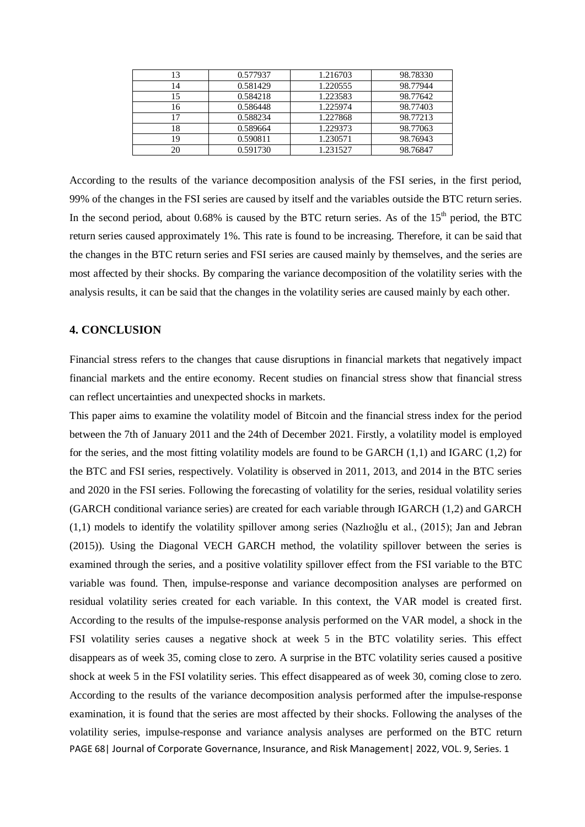| 13 | 0.577937 | 1.216703 | 98.78330 |
|----|----------|----------|----------|
| 14 | 0.581429 | 1.220555 | 98.77944 |
| 15 | 0.584218 | 1.223583 | 98.77642 |
| 16 | 0.586448 | 1.225974 | 98.77403 |
| 17 | 0.588234 | 1.227868 | 98.77213 |
| 18 | 0.589664 | 1.229373 | 98.77063 |
| 19 | 0.590811 | 1.230571 | 98.76943 |
| 20 | 0.591730 | 1.231527 | 98.76847 |

According to the results of the variance decomposition analysis of the FSI series, in the first period, 99% of the changes in the FSI series are caused by itself and the variables outside the BTC return series. In the second period, about 0.68% is caused by the BTC return series. As of the  $15<sup>th</sup>$  period, the BTC return series caused approximately 1%. This rate is found to be increasing. Therefore, it can be said that the changes in the BTC return series and FSI series are caused mainly by themselves, and the series are most affected by their shocks. By comparing the variance decomposition of the volatility series with the analysis results, it can be said that the changes in the volatility series are caused mainly by each other.

# **4. CONCLUSION**

Financial stress refers to the changes that cause disruptions in financial markets that negatively impact financial markets and the entire economy. Recent studies on financial stress show that financial stress can reflect uncertainties and unexpected shocks in markets.

PAGE 68 | Journal of Corporate Governance, Insurance, and Risk Management | 2022, VOL. 9, Series. 1 This paper aims to examine the volatility model of Bitcoin and the financial stress index for the period between the 7th of January 2011 and the 24th of December 2021. Firstly, a volatility model is employed for the series, and the most fitting volatility models are found to be GARCH (1,1) and IGARC (1,2) for the BTC and FSI series, respectively. Volatility is observed in 2011, 2013, and 2014 in the BTC series and 2020 in the FSI series. Following the forecasting of volatility for the series, residual volatility series (GARCH conditional variance series) are created for each variable through IGARCH (1,2) and GARCH (1,1) models to identify the volatility spillover among series (Nazlıoğlu et al., (2015); Jan and Jebran (2015)). Using the Diagonal VECH GARCH method, the volatility spillover between the series is examined through the series, and a positive volatility spillover effect from the FSI variable to the BTC variable was found. Then, impulse-response and variance decomposition analyses are performed on residual volatility series created for each variable. In this context, the VAR model is created first. According to the results of the impulse-response analysis performed on the VAR model, a shock in the FSI volatility series causes a negative shock at week 5 in the BTC volatility series. This effect disappears as of week 35, coming close to zero. A surprise in the BTC volatility series caused a positive shock at week 5 in the FSI volatility series. This effect disappeared as of week 30, coming close to zero. According to the results of the variance decomposition analysis performed after the impulse-response examination, it is found that the series are most affected by their shocks. Following the analyses of the volatility series, impulse-response and variance analysis analyses are performed on the BTC return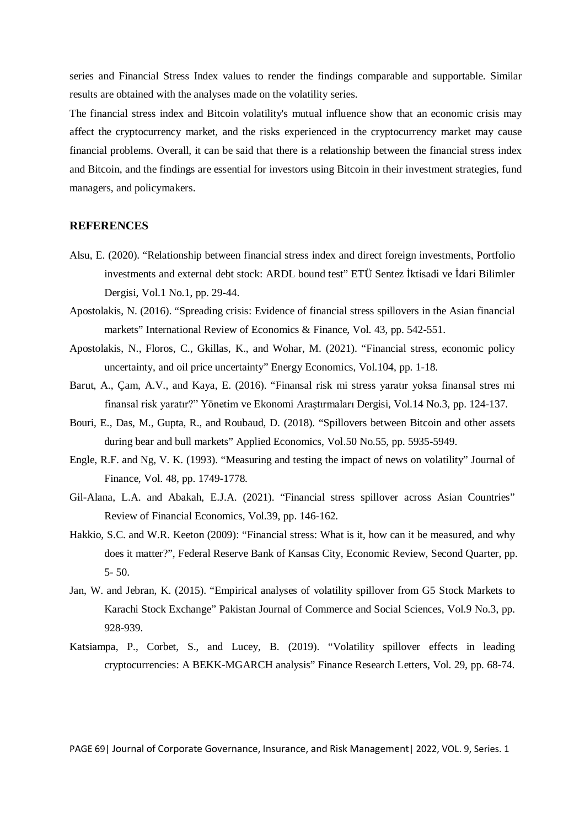series and Financial Stress Index values to render the findings comparable and supportable. Similar results are obtained with the analyses made on the volatility series.

The financial stress index and Bitcoin volatility's mutual influence show that an economic crisis may affect the cryptocurrency market, and the risks experienced in the cryptocurrency market may cause financial problems. Overall, it can be said that there is a relationship between the financial stress index and Bitcoin, and the findings are essential for investors using Bitcoin in their investment strategies, fund managers, and policymakers.

# **REFERENCES**

- Alsu, E. (2020). "Relationship between financial stress index and direct foreign investments, Portfolio investments and external debt stock: ARDL bound test" ETÜ Sentez İktisadi ve İdari Bilimler Dergisi*,* Vol.1 No.1, pp. 29-44.
- Apostolakis, N. (2016). "Spreading crisis: Evidence of financial stress spillovers in the Asian financial markets" International Review of Economics & Finance, Vol. 43, pp. 542-551.
- Apostolakis, N., Floros, C., Gkillas, K., and Wohar, M. (2021). "Financial stress, economic policy uncertainty, and oil price uncertainty" Energy Economics, Vol.104, pp. 1-18.
- Barut, A., Çam, A.V., and Kaya, E. (2016). "Finansal risk mi stress yaratır yoksa finansal stres mi finansal risk yaratır?" Yönetim ve Ekonomi Araştırmaları Dergisi, Vol.14 No.3, pp. 124-137.
- Bouri, E., Das, M., Gupta, R., and Roubaud, D. (2018). "Spillovers between Bitcoin and other assets during bear and bull markets" Applied Economics, Vol.50 No.55, pp. 5935-5949.
- Engle, R.F. and Ng, V. K. (1993). "Measuring and testing the impact of news on volatility" Journal of Finance, Vol. 48, pp. 1749-1778.
- Gil-Alana, L.A. and Abakah, E.J.A. (2021). "Financial stress spillover across Asian Countries" Review of Financial Economics, Vol.39, pp. 146-162.
- Hakkio, S.C. and W.R. Keeton (2009): "Financial stress: What is it, how can it be measured, and why does it matter?", Federal Reserve Bank of Kansas City, Economic Review, Second Quarter, pp. 5- 50.
- Jan, W. and Jebran, K. (2015). "Empirical analyses of volatility spillover from G5 Stock Markets to Karachi Stock Exchange" Pakistan Journal of Commerce and Social Sciences, Vol.9 No.3, pp. 928-939.
- Katsiampa, P., Corbet, S., and Lucey, B. (2019). "Volatility spillover effects in leading cryptocurrencies: A BEKK-MGARCH analysis" Finance Research Letters, Vol. 29, pp. 68-74.

PAGE 69| Journal of Corporate Governance, Insurance, and Risk Management| 2022, VOL. 9, Series. 1